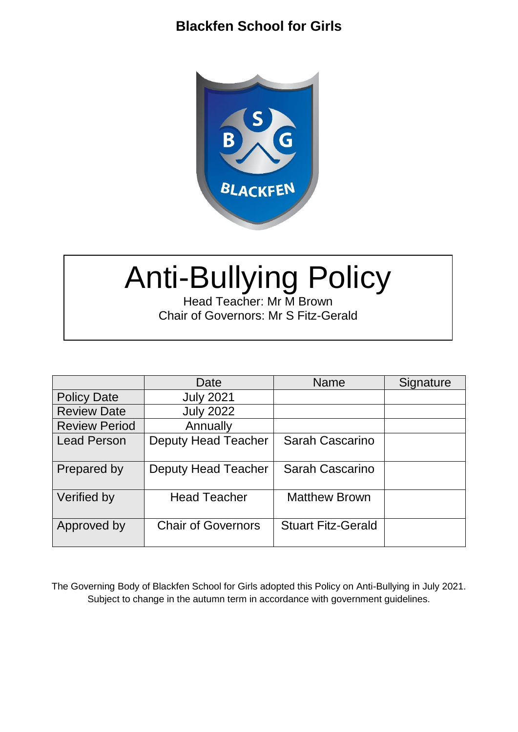

# Anti-Bullying Policy

Head Teacher: Mr M Brown Chair of Governors: Mr S Fitz-Gerald

|                      | Date                       | <b>Name</b>               | Signature |
|----------------------|----------------------------|---------------------------|-----------|
| <b>Policy Date</b>   | <b>July 2021</b>           |                           |           |
| <b>Review Date</b>   | <b>July 2022</b>           |                           |           |
| <b>Review Period</b> | Annually                   |                           |           |
| <b>Lead Person</b>   | <b>Deputy Head Teacher</b> | Sarah Cascarino           |           |
| Prepared by          | Deputy Head Teacher        | Sarah Cascarino           |           |
| Verified by          | <b>Head Teacher</b>        | <b>Matthew Brown</b>      |           |
| Approved by          | <b>Chair of Governors</b>  | <b>Stuart Fitz-Gerald</b> |           |

The Governing Body of Blackfen School for Girls adopted this Policy on Anti-Bullying in July 2021. Subject to change in the autumn term in accordance with government guidelines.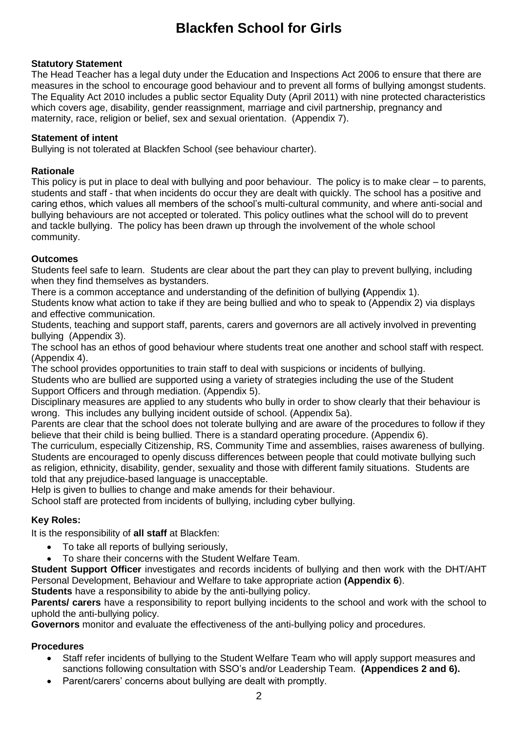#### **Statutory Statement**

The Head Teacher has a legal duty under the Education and Inspections Act 2006 to ensure that there are measures in the school to encourage good behaviour and to prevent all forms of bullying amongst students. The Equality Act 2010 includes a public sector Equality Duty (April 2011) with nine protected characteristics which covers age, disability, gender reassignment, marriage and civil partnership, pregnancy and maternity, race, religion or belief, sex and sexual orientation. (Appendix 7).

#### **Statement of intent**

Bullying is not tolerated at Blackfen School (see behaviour charter).

#### **Rationale**

This policy is put in place to deal with bullying and poor behaviour. The policy is to make clear – to parents, students and staff - that when incidents do occur they are dealt with quickly. The school has a positive and caring ethos, which values all members of the school's multi-cultural community, and where anti-social and bullying behaviours are not accepted or tolerated. This policy outlines what the school will do to prevent and tackle bullying. The policy has been drawn up through the involvement of the whole school community.

#### **Outcomes**

Students feel safe to learn. Students are clear about the part they can play to prevent bullying, including when they find themselves as bystanders.

There is a common acceptance and understanding of the definition of bullying **(**Appendix 1).

Students know what action to take if they are being bullied and who to speak to (Appendix 2) via displays and effective communication.

Students, teaching and support staff, parents, carers and governors are all actively involved in preventing bullying (Appendix 3).

The school has an ethos of good behaviour where students treat one another and school staff with respect. (Appendix 4).

The school provides opportunities to train staff to deal with suspicions or incidents of bullying.

Students who are bullied are supported using a variety of strategies including the use of the Student Support Officers and through mediation. (Appendix 5).

Disciplinary measures are applied to any students who bully in order to show clearly that their behaviour is wrong. This includes any bullying incident outside of school. (Appendix 5a).

Parents are clear that the school does not tolerate bullying and are aware of the procedures to follow if they believe that their child is being bullied. There is a standard operating procedure. (Appendix 6).

The curriculum, especially Citizenship, RS, Community Time and assemblies, raises awareness of bullying. Students are encouraged to openly discuss differences between people that could motivate bullying such as religion, ethnicity, disability, gender, sexuality and those with different family situations. Students are told that any prejudice-based language is unacceptable.

Help is given to bullies to change and make amends for their behaviour.

School staff are protected from incidents of bullying, including cyber bullying.

#### **Key Roles:**

It is the responsibility of **all staff** at Blackfen:

- To take all reports of bullying seriously,
- To share their concerns with the Student Welfare Team.

**Student Support Officer** investigates and records incidents of bullying and then work with the DHT/AHT Personal Development, Behaviour and Welfare to take appropriate action **(Appendix 6**).

**Students** have a responsibility to abide by the anti-bullying policy.

**Parents/ carers** have a responsibility to report bullying incidents to the school and work with the school to uphold the anti-bullying policy.

**Governors** monitor and evaluate the effectiveness of the anti-bullying policy and procedures.

#### **Procedures**

- Staff refer incidents of bullying to the Student Welfare Team who will apply support measures and sanctions following consultation with SSO's and/or Leadership Team. **(Appendices 2 and 6).**
- Parent/carers' concerns about bullying are dealt with promptly.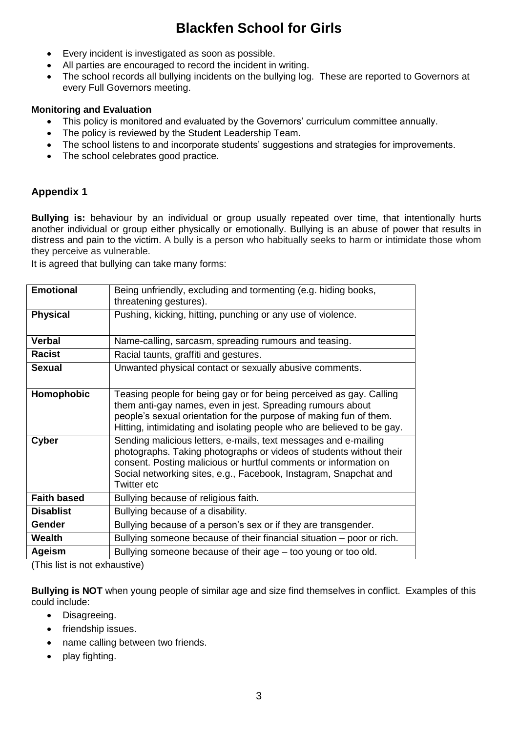- Every incident is investigated as soon as possible.
- All parties are encouraged to record the incident in writing.
- The school records all bullying incidents on the bullying log. These are reported to Governors at every Full Governors meeting.

#### **Monitoring and Evaluation**

- This policy is monitored and evaluated by the Governors' curriculum committee annually.
- The policy is reviewed by the Student Leadership Team.
- The school listens to and incorporate students' suggestions and strategies for improvements.
- The school celebrates good practice.

### **Appendix 1**

**Bullying is:** behaviour by an individual or group usually repeated over time, that intentionally hurts another individual or group either physically or emotionally. Bullying is an abuse of power that results in distress and pain to the victim. A bully is a person who habitually seeks to harm or intimidate those whom they perceive as vulnerable.

It is agreed that bullying can take many forms:

| <b>Emotional</b>   | Being unfriendly, excluding and tormenting (e.g. hiding books,<br>threatening gestures).                                                                                                                                                                                                      |  |
|--------------------|-----------------------------------------------------------------------------------------------------------------------------------------------------------------------------------------------------------------------------------------------------------------------------------------------|--|
| <b>Physical</b>    | Pushing, kicking, hitting, punching or any use of violence.                                                                                                                                                                                                                                   |  |
| <b>Verbal</b>      | Name-calling, sarcasm, spreading rumours and teasing.                                                                                                                                                                                                                                         |  |
| <b>Racist</b>      | Racial taunts, graffiti and gestures.                                                                                                                                                                                                                                                         |  |
| <b>Sexual</b>      | Unwanted physical contact or sexually abusive comments.                                                                                                                                                                                                                                       |  |
| Homophobic         | Teasing people for being gay or for being perceived as gay. Calling<br>them anti-gay names, even in jest. Spreading rumours about<br>people's sexual orientation for the purpose of making fun of them.<br>Hitting, intimidating and isolating people who are believed to be gay.             |  |
| <b>Cyber</b>       | Sending malicious letters, e-mails, text messages and e-mailing<br>photographs. Taking photographs or videos of students without their<br>consent. Posting malicious or hurtful comments or information on<br>Social networking sites, e.g., Facebook, Instagram, Snapchat and<br>Twitter etc |  |
| <b>Faith based</b> | Bullying because of religious faith.                                                                                                                                                                                                                                                          |  |
| <b>Disablist</b>   | Bullying because of a disability.                                                                                                                                                                                                                                                             |  |
| <b>Gender</b>      | Bullying because of a person's sex or if they are transgender.                                                                                                                                                                                                                                |  |
| Wealth             | Bullying someone because of their financial situation – poor or rich.                                                                                                                                                                                                                         |  |
| <b>Ageism</b>      | Bullying someone because of their age - too young or too old.                                                                                                                                                                                                                                 |  |

(This list is not exhaustive)

**Bullying is NOT** when young people of similar age and size find themselves in conflict. Examples of this could include:

- Disagreeing.
- friendship issues.
- name calling between two friends.
- play fighting.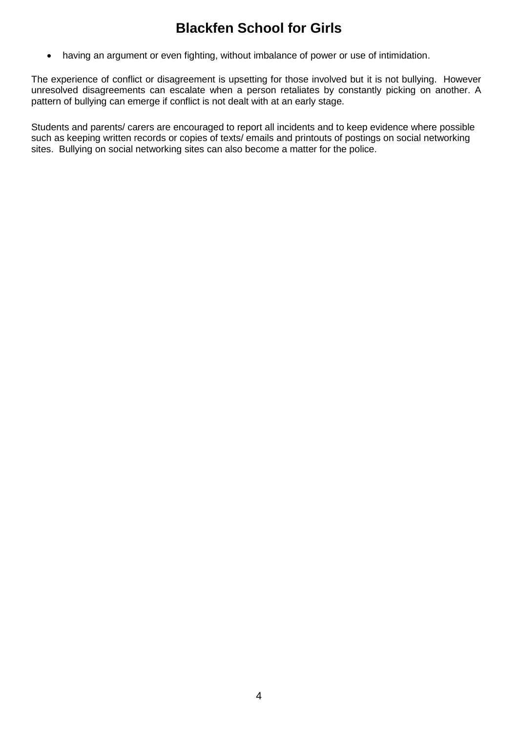having an argument or even fighting, without imbalance of power or use of intimidation.

The experience of conflict or disagreement is upsetting for those involved but it is not bullying. However unresolved disagreements can escalate when a person retaliates by constantly picking on another. A pattern of bullying can emerge if conflict is not dealt with at an early stage.

Students and parents/ carers are encouraged to report all incidents and to keep evidence where possible such as keeping written records or copies of texts/ emails and printouts of postings on social networking sites. Bullying on social networking sites can also become a matter for the police.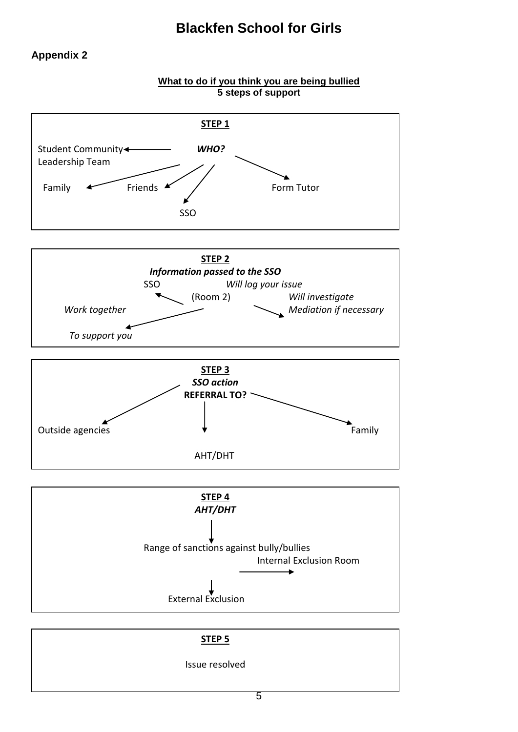## **Appendix 2**

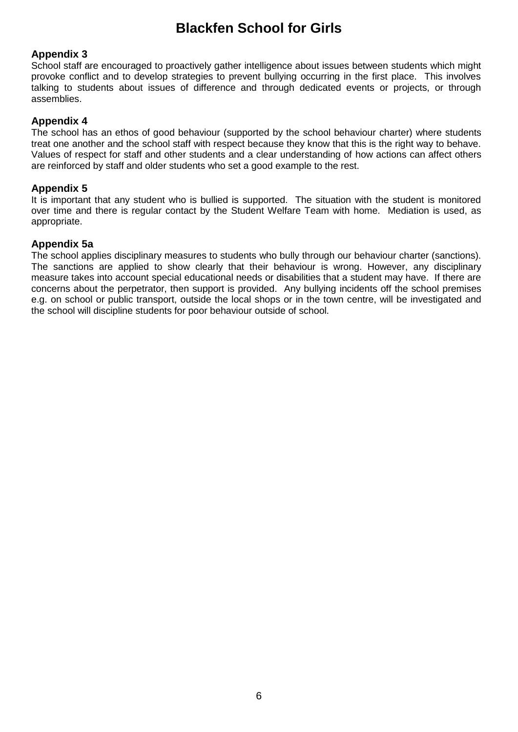#### **Appendix 3**

School staff are encouraged to proactively gather intelligence about issues between students which might provoke conflict and to develop strategies to prevent bullying occurring in the first place. This involves talking to students about issues of difference and through dedicated events or projects, or through assemblies.

#### **Appendix 4**

The school has an ethos of good behaviour (supported by the school behaviour charter) where students treat one another and the school staff with respect because they know that this is the right way to behave. Values of respect for staff and other students and a clear understanding of how actions can affect others are reinforced by staff and older students who set a good example to the rest.

#### **Appendix 5**

It is important that any student who is bullied is supported. The situation with the student is monitored over time and there is regular contact by the Student Welfare Team with home. Mediation is used, as appropriate.

#### **Appendix 5a**

The school applies disciplinary measures to students who bully through our behaviour charter (sanctions). The sanctions are applied to show clearly that their behaviour is wrong. However, any disciplinary measure takes into account special educational needs or disabilities that a student may have. If there are concerns about the perpetrator, then support is provided. Any bullying incidents off the school premises e.g. on school or public transport, outside the local shops or in the town centre, will be investigated and the school will discipline students for poor behaviour outside of school.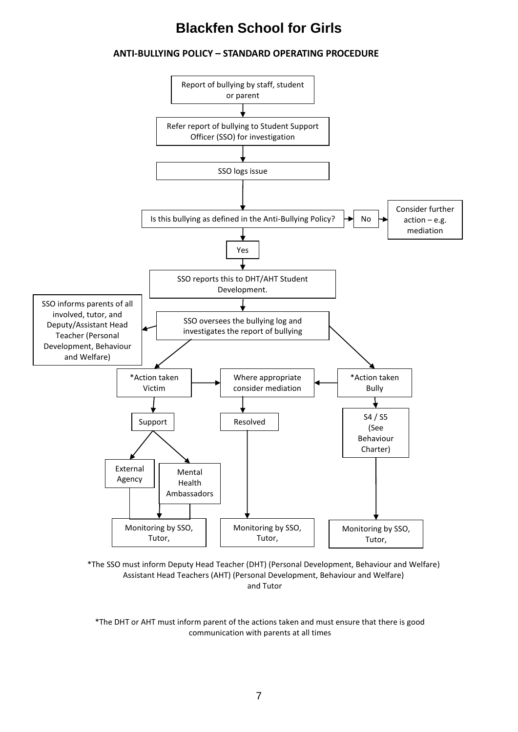#### **ANTI-BULLYING POLICY – STANDARD OPERATING PROCEDURE**



\*The SSO must inform Deputy Head Teacher (DHT) (Personal Development, Behaviour and Welfare) Assistant Head Teachers (AHT) (Personal Development, Behaviour and Welfare) and Tutor

\*The DHT or AHT must inform parent of the actions taken and must ensure that there is good communication with parents at all times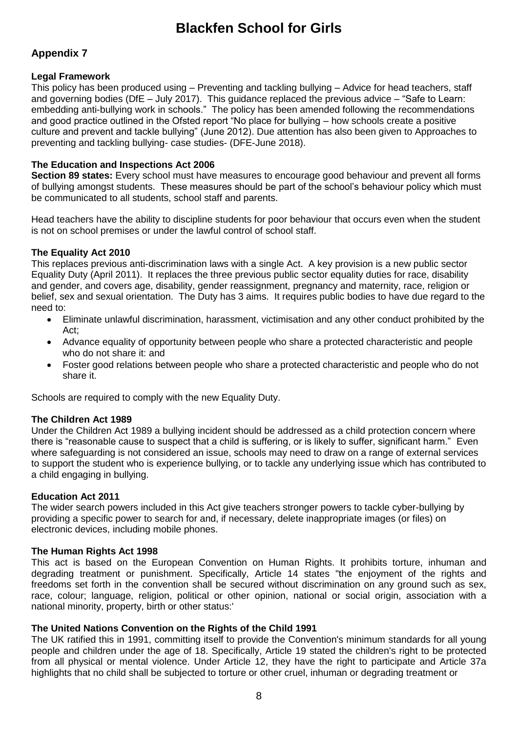## **Appendix 7**

#### **Legal Framework**

This policy has been produced using – Preventing and tackling bullying – Advice for head teachers, staff and governing bodies (DfE – July 2017). This guidance replaced the previous advice – "Safe to Learn: embedding anti-bullying work in schools." The policy has been amended following the recommendations and good practice outlined in the Ofsted report "No place for bullying – how schools create a positive culture and prevent and tackle bullying" (June 2012). Due attention has also been given to Approaches to preventing and tackling bullying- case studies- (DFE-June 2018).

#### **The Education and Inspections Act 2006**

**Section 89 states:** Every school must have measures to encourage good behaviour and prevent all forms of bullying amongst students. These measures should be part of the school's behaviour policy which must be communicated to all students, school staff and parents.

Head teachers have the ability to discipline students for poor behaviour that occurs even when the student is not on school premises or under the lawful control of school staff.

#### **The Equality Act 2010**

This replaces previous anti-discrimination laws with a single Act. A key provision is a new public sector Equality Duty (April 2011). It replaces the three previous public sector equality duties for race, disability and gender, and covers age, disability, gender reassignment, pregnancy and maternity, race, religion or belief, sex and sexual orientation. The Duty has 3 aims. It requires public bodies to have due regard to the need to:

- Eliminate unlawful discrimination, harassment, victimisation and any other conduct prohibited by the Act;
- Advance equality of opportunity between people who share a protected characteristic and people who do not share it: and
- Foster good relations between people who share a protected characteristic and people who do not share it.

Schools are required to comply with the new Equality Duty.

#### **The Children Act 1989**

Under the Children Act 1989 a bullying incident should be addressed as a child protection concern where there is "reasonable cause to suspect that a child is suffering, or is likely to suffer, significant harm." Even where safeguarding is not considered an issue, schools may need to draw on a range of external services to support the student who is experience bullying, or to tackle any underlying issue which has contributed to a child engaging in bullying.

#### **Education Act 2011**

The wider search powers included in this Act give teachers stronger powers to tackle cyber-bullying by providing a specific power to search for and, if necessary, delete inappropriate images (or files) on electronic devices, including mobile phones.

#### **The Human Rights Act 1998**

This act is based on the European Convention on Human Rights. It prohibits torture, inhuman and degrading treatment or punishment. Specifically, Article 14 states "the enjoyment of the rights and freedoms set forth in the convention shall be secured without discrimination on any ground such as sex, race, colour; language, religion, political or other opinion, national or social origin, association with a national minority, property, birth or other status:'

#### **The United Nations Convention on the Rights of the Child 1991**

The UK ratified this in 1991, committing itself to provide the Convention's minimum standards for all young people and children under the age of 18. Specifically, Article 19 stated the children's right to be protected from all physical or mental violence. Under Article 12, they have the right to participate and Article 37a highlights that no child shall be subjected to torture or other cruel, inhuman or degrading treatment or